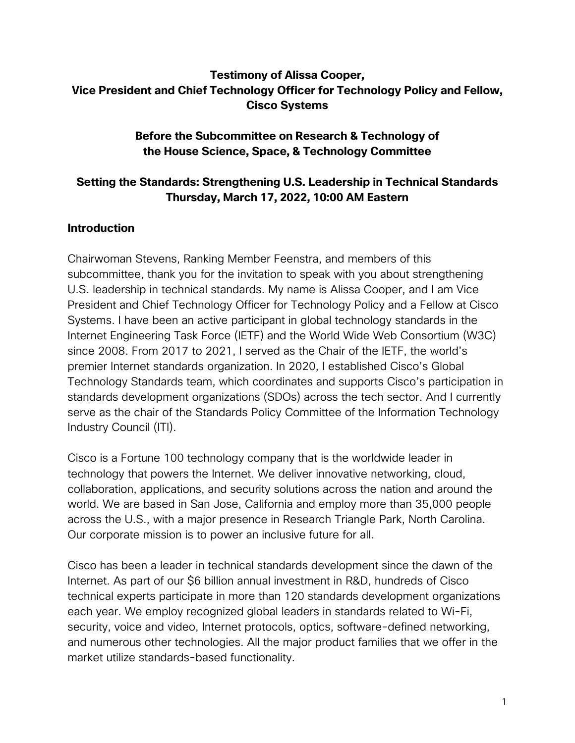# **Testimony of Alissa Cooper, Vice President and Chief Technology Officer for Technology Policy and Fellow, Cisco Systems**

## **Before the Subcommittee on Research & Technology of the House Science, Space, & Technology Committee**

# **Setting the Standards: Strengthening U.S. Leadership in Technical Standards Thursday, March 17, 2022, 10:00 AM Eastern**

# **Introduction**

Chairwoman Stevens, Ranking Member Feenstra, and members of this subcommittee, thank you for the invitation to speak with you about strengthening U.S. leadership in technical standards. My name is Alissa Cooper, and I am Vice President and Chief Technology Officer for Technology Policy and a Fellow at Cisco Systems. I have been an active participant in global technology standards in the Internet Engineering Task Force (IETF) and the World Wide Web Consortium (W3C) since 2008. From 2017 to 2021, I served as the Chair of the IETF, the world's premier Internet standards organization. In 2020, I established Cisco's Global Technology Standards team, which coordinates and supports Cisco's participation in standards development organizations (SDOs) across the tech sector. And I currently serve as the chair of the Standards Policy Committee of the Information Technology Industry Council (ITI).

Cisco is a Fortune 100 technology company that is the worldwide leader in technology that powers the Internet. We deliver innovative networking, cloud, collaboration, applications, and security solutions across the nation and around the world. We are based in San Jose, California and employ more than 35,000 people across the U.S., with a major presence in Research Triangle Park, North Carolina. Our corporate mission is to power an inclusive future for all.

Cisco has been a leader in technical standards development since the dawn of the Internet. As part of our \$6 billion annual investment in R&D, hundreds of Cisco technical experts participate in more than 120 standards development organizations each year. We employ recognized global leaders in standards related to Wi-Fi, security, voice and video, Internet protocols, optics, software-defined networking, and numerous other technologies. All the major product families that we offer in the market utilize standards-based functionality.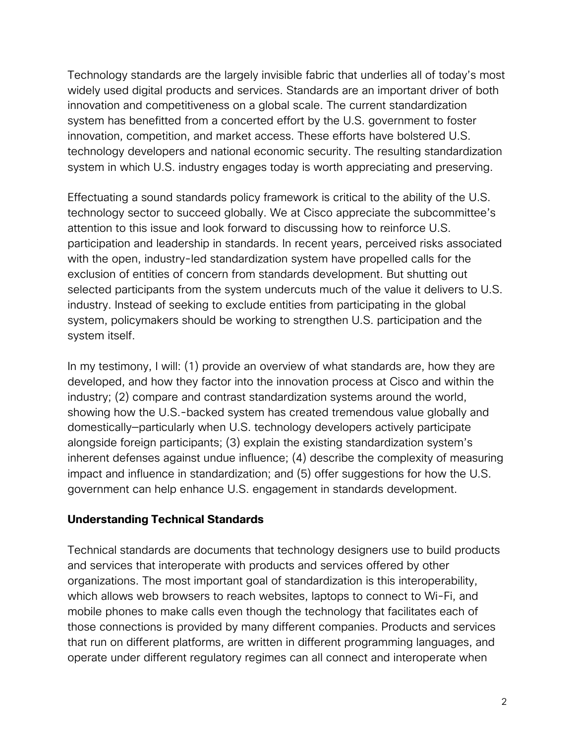Technology standards are the largely invisible fabric that underlies all of today's most widely used digital products and services. Standards are an important driver of both innovation and competitiveness on a global scale. The current standardization system has benefitted from a concerted effort by the U.S. government to foster innovation, competition, and market access. These efforts have bolstered U.S. technology developers and national economic security. The resulting standardization system in which U.S. industry engages today is worth appreciating and preserving.

Effectuating a sound standards policy framework is critical to the ability of the U.S. technology sector to succeed globally. We at Cisco appreciate the subcommittee's attention to this issue and look forward to discussing how to reinforce U.S. participation and leadership in standards. In recent years, perceived risks associated with the open, industry-led standardization system have propelled calls for the exclusion of entities of concern from standards development. But shutting out selected participants from the system undercuts much of the value it delivers to U.S. industry. Instead of seeking to exclude entities from participating in the global system, policymakers should be working to strengthen U.S. participation and the system itself.

In my testimony, I will: (1) provide an overview of what standards are, how they are developed, and how they factor into the innovation process at Cisco and within the industry; (2) compare and contrast standardization systems around the world, showing how the U.S.-backed system has created tremendous value globally and domestically—particularly when U.S. technology developers actively participate alongside foreign participants; (3) explain the existing standardization system's inherent defenses against undue influence; (4) describe the complexity of measuring impact and influence in standardization; and (5) offer suggestions for how the U.S. government can help enhance U.S. engagement in standards development.

### **Understanding Technical Standards**

Technical standards are documents that technology designers use to build products and services that interoperate with products and services offered by other organizations. The most important goal of standardization is this interoperability, which allows web browsers to reach websites, laptops to connect to Wi-Fi, and mobile phones to make calls even though the technology that facilitates each of those connections is provided by many different companies. Products and services that run on different platforms, are written in different programming languages, and operate under different regulatory regimes can all connect and interoperate when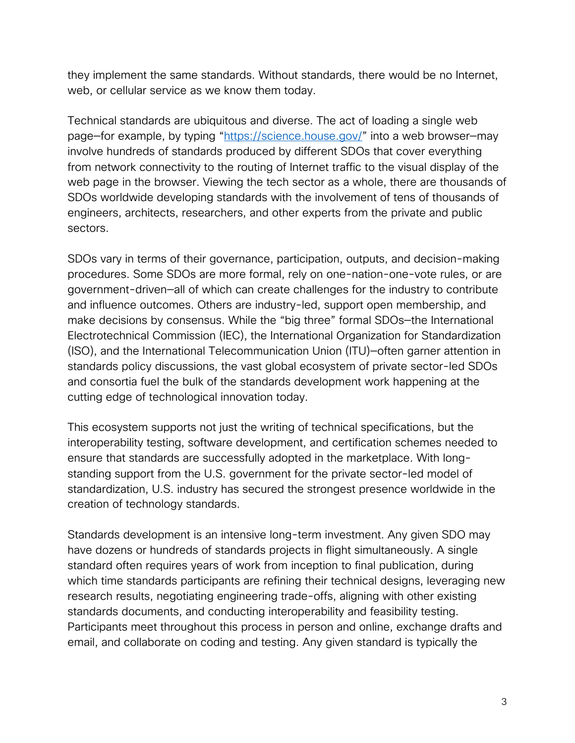they implement the same standards. Without standards, there would be no Internet, web, or cellular service as we know them today.

Technical standards are ubiquitous and diverse. The act of loading a single web page—for example, by typing "https://science.house.gov/" into a web browser—may involve hundreds of standards produced by different SDOs that cover everything from network connectivity to the routing of Internet traffic to the visual display of the web page in the browser. Viewing the tech sector as a whole, there are thousands of SDOs worldwide developing standards with the involvement of tens of thousands of engineers, architects, researchers, and other experts from the private and public sectors.

SDOs vary in terms of their governance, participation, outputs, and decision-making procedures. Some SDOs are more formal, rely on one-nation-one-vote rules, or are government-driven—all of which can create challenges for the industry to contribute and influence outcomes. Others are industry-led, support open membership, and make decisions by consensus. While the "big three" formal SDOs—the International Electrotechnical Commission (IEC), the International Organization for Standardization (ISO), and the International Telecommunication Union (ITU)—often garner attention in standards policy discussions, the vast global ecosystem of private sector-led SDOs and consortia fuel the bulk of the standards development work happening at the cutting edge of technological innovation today.

This ecosystem supports not just the writing of technical specifications, but the interoperability testing, software development, and certification schemes needed to ensure that standards are successfully adopted in the marketplace. With longstanding support from the U.S. government for the private sector-led model of standardization, U.S. industry has secured the strongest presence worldwide in the creation of technology standards.

Standards development is an intensive long-term investment. Any given SDO may have dozens or hundreds of standards projects in flight simultaneously. A single standard often requires years of work from inception to final publication, during which time standards participants are refining their technical designs, leveraging new research results, negotiating engineering trade-offs, aligning with other existing standards documents, and conducting interoperability and feasibility testing. Participants meet throughout this process in person and online, exchange drafts and email, and collaborate on coding and testing. Any given standard is typically the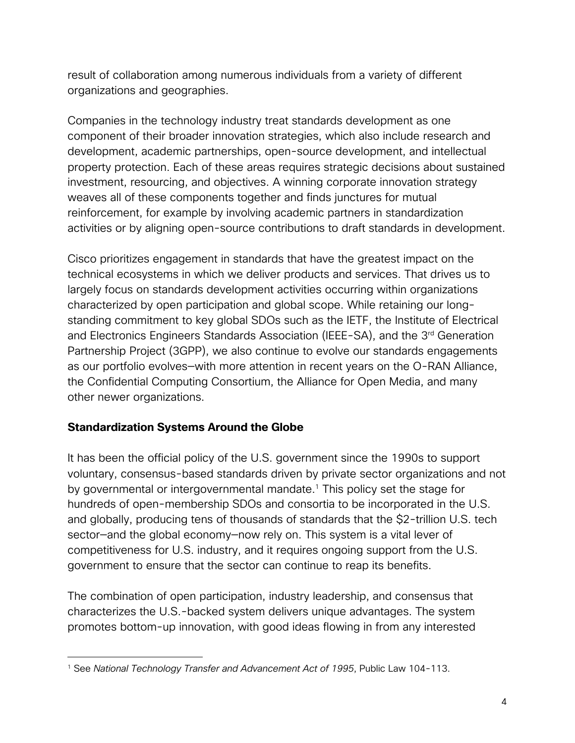result of collaboration among numerous individuals from a variety of different organizations and geographies.

Companies in the technology industry treat standards development as one component of their broader innovation strategies, which also include research and development, academic partnerships, open-source development, and intellectual property protection. Each of these areas requires strategic decisions about sustained investment, resourcing, and objectives. A winning corporate innovation strategy weaves all of these components together and finds junctures for mutual reinforcement, for example by involving academic partners in standardization activities or by aligning open-source contributions to draft standards in development.

Cisco prioritizes engagement in standards that have the greatest impact on the technical ecosystems in which we deliver products and services. That drives us to largely focus on standards development activities occurring within organizations characterized by open participation and global scope. While retaining our longstanding commitment to key global SDOs such as the IETF, the Institute of Electrical and Electronics Engineers Standards Association (IEEE-SA), and the 3<sup>rd</sup> Generation Partnership Project (3GPP), we also continue to evolve our standards engagements as our portfolio evolves—with more attention in recent years on the O-RAN Alliance, the Confidential Computing Consortium, the Alliance for Open Media, and many other newer organizations.

# **Standardization Systems Around the Globe**

It has been the official policy of the U.S. government since the 1990s to support voluntary, consensus-based standards driven by private sector organizations and not by governmental or intergovernmental mandate.<sup>1</sup> This policy set the stage for hundreds of open-membership SDOs and consortia to be incorporated in the U.S. and globally, producing tens of thousands of standards that the \$2-trillion U.S. tech sector—and the global economy—now rely on. This system is a vital lever of competitiveness for U.S. industry, and it requires ongoing support from the U.S. government to ensure that the sector can continue to reap its benefits.

The combination of open participation, industry leadership, and consensus that characterizes the U.S.-backed system delivers unique advantages. The system promotes bottom-up innovation, with good ideas flowing in from any interested

<sup>1</sup> See *National Technology Transfer and Advancement Act of 1995*, Public Law 104-113.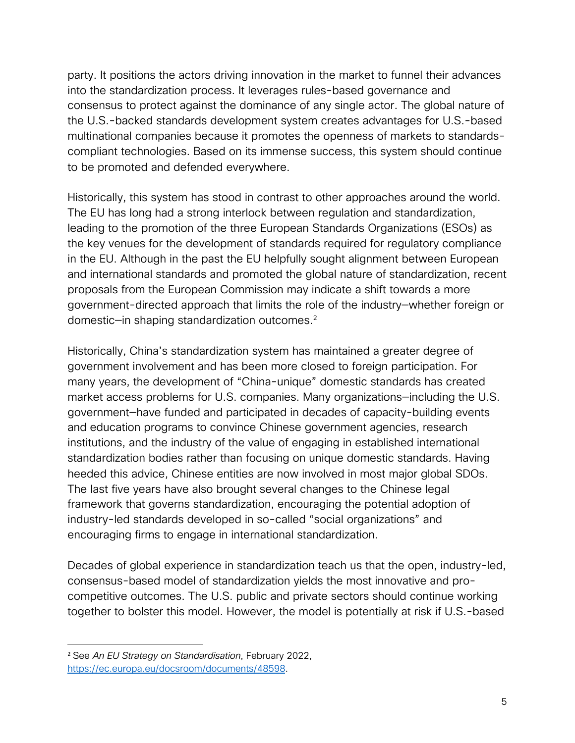party. It positions the actors driving innovation in the market to funnel their advances into the standardization process. It leverages rules-based governance and consensus to protect against the dominance of any single actor. The global nature of the U.S.-backed standards development system creates advantages for U.S.-based multinational companies because it promotes the openness of markets to standardscompliant technologies. Based on its immense success, this system should continue to be promoted and defended everywhere.

Historically, this system has stood in contrast to other approaches around the world. The EU has long had a strong interlock between regulation and standardization, leading to the promotion of the three European Standards Organizations (ESOs) as the key venues for the development of standards required for regulatory compliance in the EU. Although in the past the EU helpfully sought alignment between European and international standards and promoted the global nature of standardization, recent proposals from the European Commission may indicate a shift towards a more government-directed approach that limits the role of the industry—whether foreign or domestic—in shaping standardization outcomes.2

Historically, China's standardization system has maintained a greater degree of government involvement and has been more closed to foreign participation. For many years, the development of "China-unique" domestic standards has created market access problems for U.S. companies. Many organizations—including the U.S. government—have funded and participated in decades of capacity-building events and education programs to convince Chinese government agencies, research institutions, and the industry of the value of engaging in established international standardization bodies rather than focusing on unique domestic standards. Having heeded this advice, Chinese entities are now involved in most major global SDOs. The last five years have also brought several changes to the Chinese legal framework that governs standardization, encouraging the potential adoption of industry-led standards developed in so-called "social organizations" and encouraging firms to engage in international standardization.

Decades of global experience in standardization teach us that the open, industry-led, consensus-based model of standardization yields the most innovative and procompetitive outcomes. The U.S. public and private sectors should continue working together to bolster this model. However, the model is potentially at risk if U.S.-based

<sup>2</sup> See *An EU Strategy on Standardisation*, February 2022, https://ec.europa.eu/docsroom/documents/48598.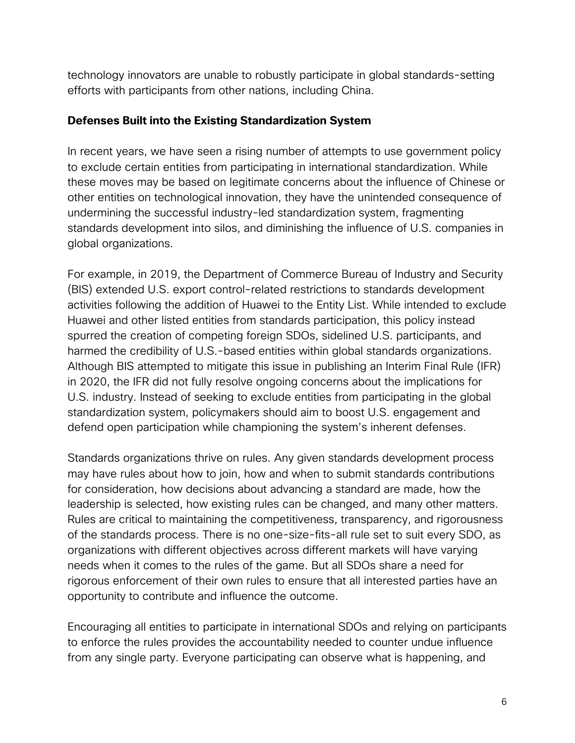technology innovators are unable to robustly participate in global standards-setting efforts with participants from other nations, including China.

## **Defenses Built into the Existing Standardization System**

In recent years, we have seen a rising number of attempts to use government policy to exclude certain entities from participating in international standardization. While these moves may be based on legitimate concerns about the influence of Chinese or other entities on technological innovation, they have the unintended consequence of undermining the successful industry-led standardization system, fragmenting standards development into silos, and diminishing the influence of U.S. companies in global organizations.

For example, in 2019, the Department of Commerce Bureau of Industry and Security (BIS) extended U.S. export control-related restrictions to standards development activities following the addition of Huawei to the Entity List. While intended to exclude Huawei and other listed entities from standards participation, this policy instead spurred the creation of competing foreign SDOs, sidelined U.S. participants, and harmed the credibility of U.S.-based entities within global standards organizations. Although BIS attempted to mitigate this issue in publishing an Interim Final Rule (IFR) in 2020, the IFR did not fully resolve ongoing concerns about the implications for U.S. industry. Instead of seeking to exclude entities from participating in the global standardization system, policymakers should aim to boost U.S. engagement and defend open participation while championing the system's inherent defenses.

Standards organizations thrive on rules. Any given standards development process may have rules about how to join, how and when to submit standards contributions for consideration, how decisions about advancing a standard are made, how the leadership is selected, how existing rules can be changed, and many other matters. Rules are critical to maintaining the competitiveness, transparency, and rigorousness of the standards process. There is no one-size-fits-all rule set to suit every SDO, as organizations with different objectives across different markets will have varying needs when it comes to the rules of the game. But all SDOs share a need for rigorous enforcement of their own rules to ensure that all interested parties have an opportunity to contribute and influence the outcome.

Encouraging all entities to participate in international SDOs and relying on participants to enforce the rules provides the accountability needed to counter undue influence from any single party. Everyone participating can observe what is happening, and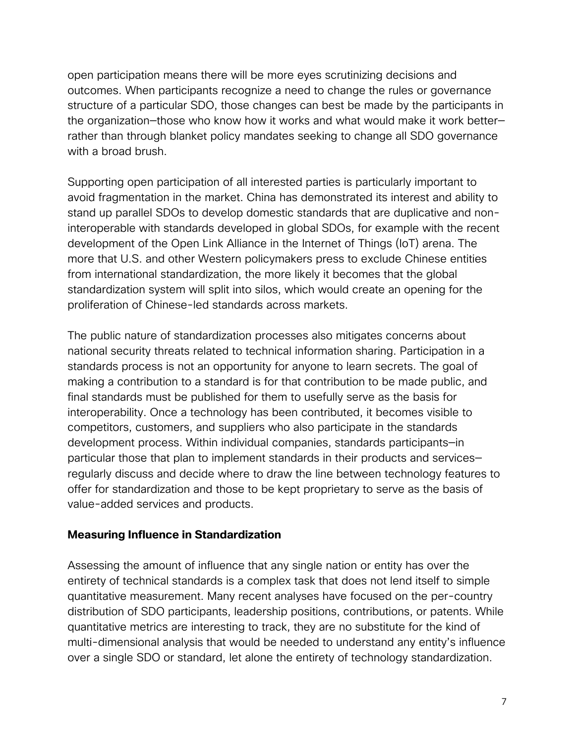open participation means there will be more eyes scrutinizing decisions and outcomes. When participants recognize a need to change the rules or governance structure of a particular SDO, those changes can best be made by the participants in the organization—those who know how it works and what would make it work better rather than through blanket policy mandates seeking to change all SDO governance with a broad brush.

Supporting open participation of all interested parties is particularly important to avoid fragmentation in the market. China has demonstrated its interest and ability to stand up parallel SDOs to develop domestic standards that are duplicative and noninteroperable with standards developed in global SDOs, for example with the recent development of the Open Link Alliance in the Internet of Things (IoT) arena. The more that U.S. and other Western policymakers press to exclude Chinese entities from international standardization, the more likely it becomes that the global standardization system will split into silos, which would create an opening for the proliferation of Chinese-led standards across markets.

The public nature of standardization processes also mitigates concerns about national security threats related to technical information sharing. Participation in a standards process is not an opportunity for anyone to learn secrets. The goal of making a contribution to a standard is for that contribution to be made public, and final standards must be published for them to usefully serve as the basis for interoperability. Once a technology has been contributed, it becomes visible to competitors, customers, and suppliers who also participate in the standards development process. Within individual companies, standards participants—in particular those that plan to implement standards in their products and services regularly discuss and decide where to draw the line between technology features to offer for standardization and those to be kept proprietary to serve as the basis of value-added services and products.

#### **Measuring Influence in Standardization**

Assessing the amount of influence that any single nation or entity has over the entirety of technical standards is a complex task that does not lend itself to simple quantitative measurement. Many recent analyses have focused on the per-country distribution of SDO participants, leadership positions, contributions, or patents. While quantitative metrics are interesting to track, they are no substitute for the kind of multi-dimensional analysis that would be needed to understand any entity's influence over a single SDO or standard, let alone the entirety of technology standardization.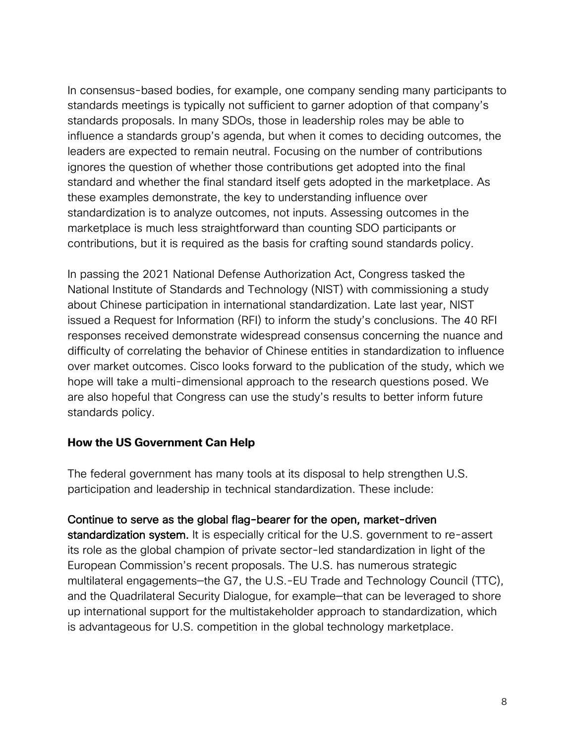In consensus-based bodies, for example, one company sending many participants to standards meetings is typically not sufficient to garner adoption of that company's standards proposals. In many SDOs, those in leadership roles may be able to influence a standards group's agenda, but when it comes to deciding outcomes, the leaders are expected to remain neutral. Focusing on the number of contributions ignores the question of whether those contributions get adopted into the final standard and whether the final standard itself gets adopted in the marketplace. As these examples demonstrate, the key to understanding influence over standardization is to analyze outcomes, not inputs. Assessing outcomes in the marketplace is much less straightforward than counting SDO participants or contributions, but it is required as the basis for crafting sound standards policy.

In passing the 2021 National Defense Authorization Act, Congress tasked the National Institute of Standards and Technology (NIST) with commissioning a study about Chinese participation in international standardization. Late last year, NIST issued a Request for Information (RFI) to inform the study's conclusions. The 40 RFI responses received demonstrate widespread consensus concerning the nuance and difficulty of correlating the behavior of Chinese entities in standardization to influence over market outcomes. Cisco looks forward to the publication of the study, which we hope will take a multi-dimensional approach to the research questions posed. We are also hopeful that Congress can use the study's results to better inform future standards policy.

### **How the US Government Can Help**

The federal government has many tools at its disposal to help strengthen U.S. participation and leadership in technical standardization. These include:

### Continue to serve as the global flag-bearer for the open, market-driven

standardization system. It is especially critical for the U.S. government to re-assert its role as the global champion of private sector-led standardization in light of the European Commission's recent proposals. The U.S. has numerous strategic multilateral engagements—the G7, the U.S.-EU Trade and Technology Council (TTC), and the Quadrilateral Security Dialogue, for example—that can be leveraged to shore up international support for the multistakeholder approach to standardization, which is advantageous for U.S. competition in the global technology marketplace.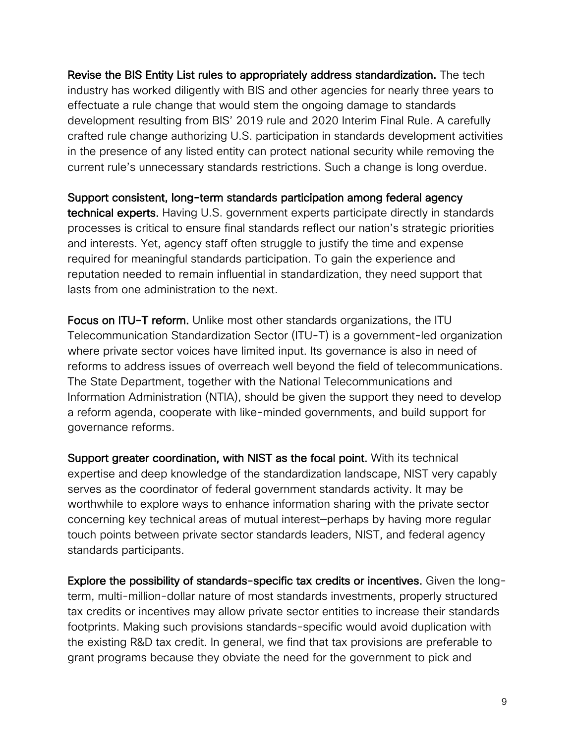Revise the BIS Entity List rules to appropriately address standardization. The tech industry has worked diligently with BIS and other agencies for nearly three years to effectuate a rule change that would stem the ongoing damage to standards development resulting from BIS' 2019 rule and 2020 Interim Final Rule. A carefully crafted rule change authorizing U.S. participation in standards development activities in the presence of any listed entity can protect national security while removing the current rule's unnecessary standards restrictions. Such a change is long overdue.

Support consistent, long-term standards participation among federal agency technical experts. Having U.S. government experts participate directly in standards processes is critical to ensure final standards reflect our nation's strategic priorities and interests. Yet, agency staff often struggle to justify the time and expense required for meaningful standards participation. To gain the experience and reputation needed to remain influential in standardization, they need support that lasts from one administration to the next.

Focus on ITU-T reform. Unlike most other standards organizations, the ITU Telecommunication Standardization Sector (ITU-T) is a government-led organization where private sector voices have limited input. Its governance is also in need of reforms to address issues of overreach well beyond the field of telecommunications. The State Department, together with the National Telecommunications and Information Administration (NTIA), should be given the support they need to develop a reform agenda, cooperate with like-minded governments, and build support for governance reforms.

Support greater coordination, with NIST as the focal point. With its technical expertise and deep knowledge of the standardization landscape, NIST very capably serves as the coordinator of federal government standards activity. It may be worthwhile to explore ways to enhance information sharing with the private sector concerning key technical areas of mutual interest—perhaps by having more regular touch points between private sector standards leaders, NIST, and federal agency standards participants.

Explore the possibility of standards-specific tax credits or incentives. Given the longterm, multi-million-dollar nature of most standards investments, properly structured tax credits or incentives may allow private sector entities to increase their standards footprints. Making such provisions standards-specific would avoid duplication with the existing R&D tax credit. In general, we find that tax provisions are preferable to grant programs because they obviate the need for the government to pick and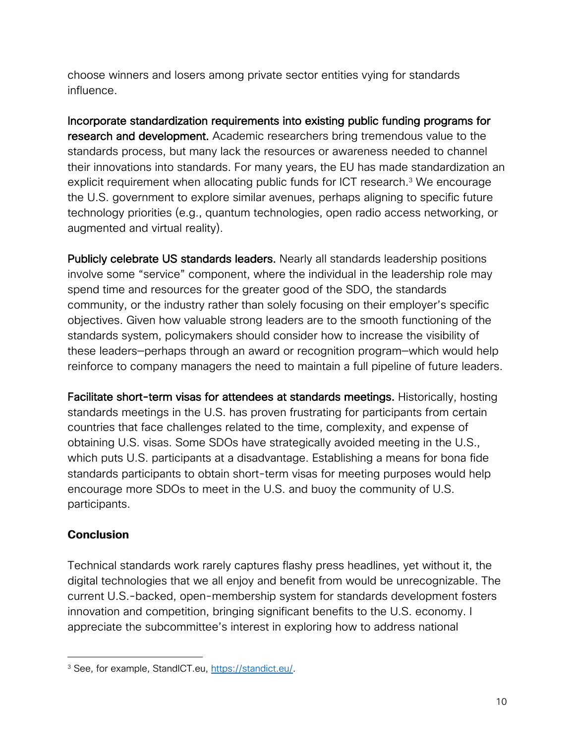choose winners and losers among private sector entities vying for standards influence.

Incorporate standardization requirements into existing public funding programs for research and development. Academic researchers bring tremendous value to the standards process, but many lack the resources or awareness needed to channel their innovations into standards. For many years, the EU has made standardization an explicit requirement when allocating public funds for ICT research.<sup>3</sup> We encourage the U.S. government to explore similar avenues, perhaps aligning to specific future technology priorities (e.g., quantum technologies, open radio access networking, or augmented and virtual reality).

Publicly celebrate US standards leaders. Nearly all standards leadership positions involve some "service" component, where the individual in the leadership role may spend time and resources for the greater good of the SDO, the standards community, or the industry rather than solely focusing on their employer's specific objectives. Given how valuable strong leaders are to the smooth functioning of the standards system, policymakers should consider how to increase the visibility of these leaders—perhaps through an award or recognition program—which would help reinforce to company managers the need to maintain a full pipeline of future leaders.

Facilitate short-term visas for attendees at standards meetings. Historically, hosting standards meetings in the U.S. has proven frustrating for participants from certain countries that face challenges related to the time, complexity, and expense of obtaining U.S. visas. Some SDOs have strategically avoided meeting in the U.S., which puts U.S. participants at a disadvantage. Establishing a means for bona fide standards participants to obtain short-term visas for meeting purposes would help encourage more SDOs to meet in the U.S. and buoy the community of U.S. participants.

# **Conclusion**

Technical standards work rarely captures flashy press headlines, yet without it, the digital technologies that we all enjoy and benefit from would be unrecognizable. The current U.S.-backed, open-membership system for standards development fosters innovation and competition, bringing significant benefits to the U.S. economy. I appreciate the subcommittee's interest in exploring how to address national

<sup>&</sup>lt;sup>3</sup> See, for example, StandICT.eu, https://standict.eu/.